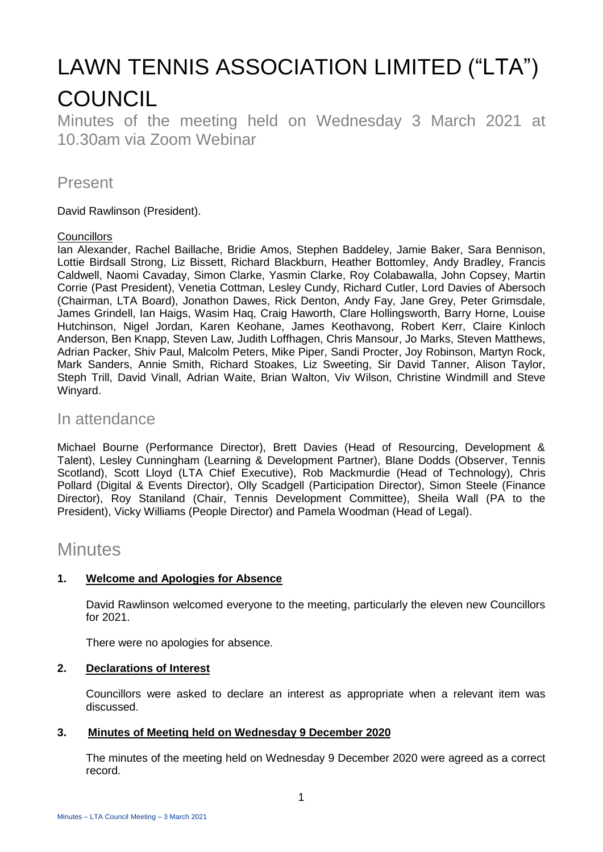# LAWN TENNIS ASSOCIATION LIMITED ("LTA") **COUNCIL**

Minutes of the meeting held on Wednesday 3 March 2021 at 10.30am via Zoom Webinar

# Present

David Rawlinson (President).

#### **Councillors**

Ian Alexander, Rachel Baillache, Bridie Amos, Stephen Baddeley, Jamie Baker, Sara Bennison, Lottie Birdsall Strong, Liz Bissett, Richard Blackburn, Heather Bottomley, Andy Bradley, Francis Caldwell, Naomi Cavaday, Simon Clarke, Yasmin Clarke, Roy Colabawalla, John Copsey, Martin Corrie (Past President), Venetia Cottman, Lesley Cundy, Richard Cutler, Lord Davies of Abersoch (Chairman, LTA Board), Jonathon Dawes, Rick Denton, Andy Fay, Jane Grey, Peter Grimsdale, James Grindell, Ian Haigs, Wasim Haq, Craig Haworth, Clare Hollingsworth, Barry Horne, Louise Hutchinson, Nigel Jordan, Karen Keohane, James Keothavong, Robert Kerr, Claire Kinloch Anderson, Ben Knapp, Steven Law, Judith Loffhagen, Chris Mansour, Jo Marks, Steven Matthews, Adrian Packer, Shiv Paul, Malcolm Peters, Mike Piper, Sandi Procter, Joy Robinson, Martyn Rock, Mark Sanders, Annie Smith, Richard Stoakes, Liz Sweeting, Sir David Tanner, Alison Taylor, Steph Trill, David Vinall, Adrian Waite, Brian Walton, Viv Wilson, Christine Windmill and Steve Winyard.

# In attendance

Michael Bourne (Performance Director), Brett Davies (Head of Resourcing, Development & Talent), Lesley Cunningham (Learning & Development Partner), Blane Dodds (Observer, Tennis Scotland), Scott Lloyd (LTA Chief Executive), Rob Mackmurdie (Head of Technology), Chris Pollard (Digital & Events Director), Olly Scadgell (Participation Director), Simon Steele (Finance Director), Roy Staniland (Chair, Tennis Development Committee), Sheila Wall (PA to the President), Vicky Williams (People Director) and Pamela Woodman (Head of Legal).

# **Minutes**

#### **1. Welcome and Apologies for Absence**

David Rawlinson welcomed everyone to the meeting, particularly the eleven new Councillors for 2021.

There were no apologies for absence.

#### **2. Declarations of Interest**

Councillors were asked to declare an interest as appropriate when a relevant item was discussed.

#### **3. Minutes of Meeting held on Wednesday 9 December 2020**

The minutes of the meeting held on Wednesday 9 December 2020 were agreed as a correct record.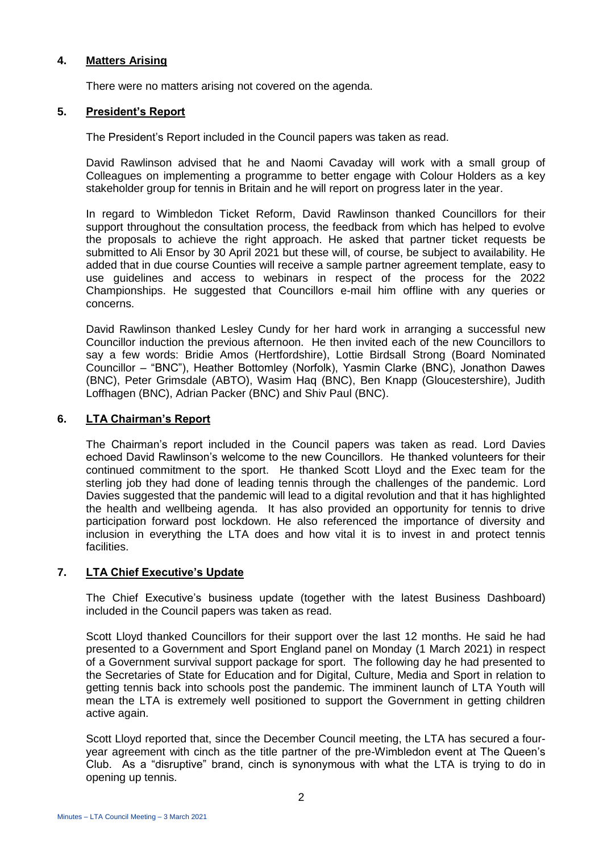#### **4. Matters Arising**

There were no matters arising not covered on the agenda.

#### **5. President's Report**

The President's Report included in the Council papers was taken as read.

David Rawlinson advised that he and Naomi Cavaday will work with a small group of Colleagues on implementing a programme to better engage with Colour Holders as a key stakeholder group for tennis in Britain and he will report on progress later in the year.

In regard to Wimbledon Ticket Reform, David Rawlinson thanked Councillors for their support throughout the consultation process, the feedback from which has helped to evolve the proposals to achieve the right approach. He asked that partner ticket requests be submitted to Ali Ensor by 30 April 2021 but these will, of course, be subject to availability. He added that in due course Counties will receive a sample partner agreement template, easy to use guidelines and access to webinars in respect of the process for the 2022 Championships. He suggested that Councillors e-mail him offline with any queries or concerns.

David Rawlinson thanked Lesley Cundy for her hard work in arranging a successful new Councillor induction the previous afternoon. He then invited each of the new Councillors to say a few words: Bridie Amos (Hertfordshire), Lottie Birdsall Strong (Board Nominated Councillor – "BNC"), Heather Bottomley (Norfolk), Yasmin Clarke (BNC), Jonathon Dawes (BNC), Peter Grimsdale (ABTO), Wasim Haq (BNC), Ben Knapp (Gloucestershire), Judith Loffhagen (BNC), Adrian Packer (BNC) and Shiv Paul (BNC).

#### **6. LTA Chairman's Report**

The Chairman's report included in the Council papers was taken as read. Lord Davies echoed David Rawlinson's welcome to the new Councillors. He thanked volunteers for their continued commitment to the sport. He thanked Scott Lloyd and the Exec team for the sterling job they had done of leading tennis through the challenges of the pandemic. Lord Davies suggested that the pandemic will lead to a digital revolution and that it has highlighted the health and wellbeing agenda. It has also provided an opportunity for tennis to drive participation forward post lockdown. He also referenced the importance of diversity and inclusion in everything the LTA does and how vital it is to invest in and protect tennis facilities.

#### **7. LTA Chief Executive's Update**

The Chief Executive's business update (together with the latest Business Dashboard) included in the Council papers was taken as read.

Scott Lloyd thanked Councillors for their support over the last 12 months. He said he had presented to a Government and Sport England panel on Monday (1 March 2021) in respect of a Government survival support package for sport. The following day he had presented to the Secretaries of State for Education and for Digital, Culture, Media and Sport in relation to getting tennis back into schools post the pandemic. The imminent launch of LTA Youth will mean the LTA is extremely well positioned to support the Government in getting children active again.

Scott Lloyd reported that, since the December Council meeting, the LTA has secured a fouryear agreement with cinch as the title partner of the pre-Wimbledon event at The Queen's Club. As a "disruptive" brand, cinch is synonymous with what the LTA is trying to do in opening up tennis.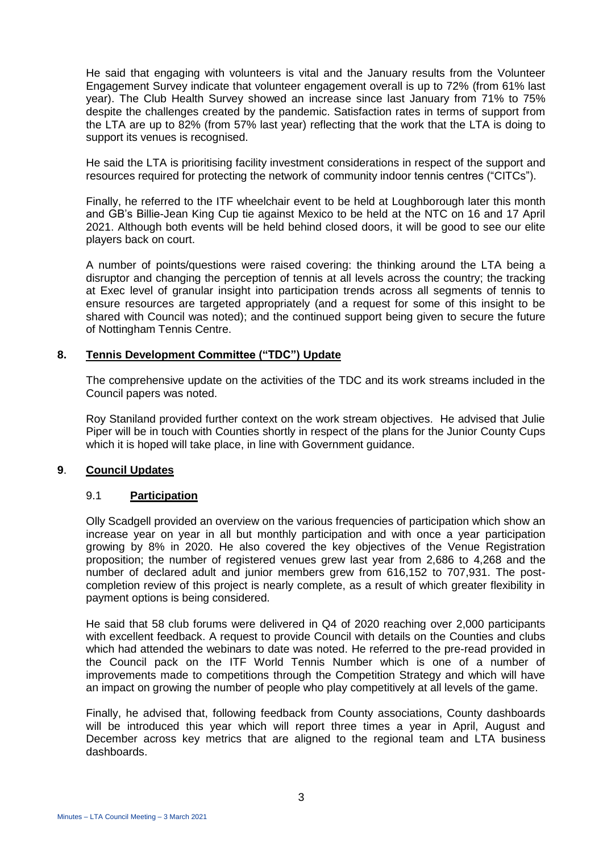He said that engaging with volunteers is vital and the January results from the Volunteer Engagement Survey indicate that volunteer engagement overall is up to 72% (from 61% last year). The Club Health Survey showed an increase since last January from 71% to 75% despite the challenges created by the pandemic. Satisfaction rates in terms of support from the LTA are up to 82% (from 57% last year) reflecting that the work that the LTA is doing to support its venues is recognised.

He said the LTA is prioritising facility investment considerations in respect of the support and resources required for protecting the network of community indoor tennis centres ("CITCs").

Finally, he referred to the ITF wheelchair event to be held at Loughborough later this month and GB's Billie-Jean King Cup tie against Mexico to be held at the NTC on 16 and 17 April 2021. Although both events will be held behind closed doors, it will be good to see our elite players back on court.

A number of points/questions were raised covering: the thinking around the LTA being a disruptor and changing the perception of tennis at all levels across the country; the tracking at Exec level of granular insight into participation trends across all segments of tennis to ensure resources are targeted appropriately (and a request for some of this insight to be shared with Council was noted); and the continued support being given to secure the future of Nottingham Tennis Centre.

#### **8. Tennis Development Committee ("TDC") Update**

The comprehensive update on the activities of the TDC and its work streams included in the Council papers was noted.

Roy Staniland provided further context on the work stream objectives. He advised that Julie Piper will be in touch with Counties shortly in respect of the plans for the Junior County Cups which it is hoped will take place, in line with Government guidance.

#### **9**. **Council Updates**

#### 9.1 **Participation**

Olly Scadgell provided an overview on the various frequencies of participation which show an increase year on year in all but monthly participation and with once a year participation growing by 8% in 2020. He also covered the key objectives of the Venue Registration proposition; the number of registered venues grew last year from 2,686 to 4,268 and the number of declared adult and junior members grew from 616,152 to 707,931. The postcompletion review of this project is nearly complete, as a result of which greater flexibility in payment options is being considered.

He said that 58 club forums were delivered in Q4 of 2020 reaching over 2,000 participants with excellent feedback. A request to provide Council with details on the Counties and clubs which had attended the webinars to date was noted. He referred to the pre-read provided in the Council pack on the ITF World Tennis Number which is one of a number of improvements made to competitions through the Competition Strategy and which will have an impact on growing the number of people who play competitively at all levels of the game.

Finally, he advised that, following feedback from County associations, County dashboards will be introduced this year which will report three times a year in April. August and December across key metrics that are aligned to the regional team and LTA business dashboards.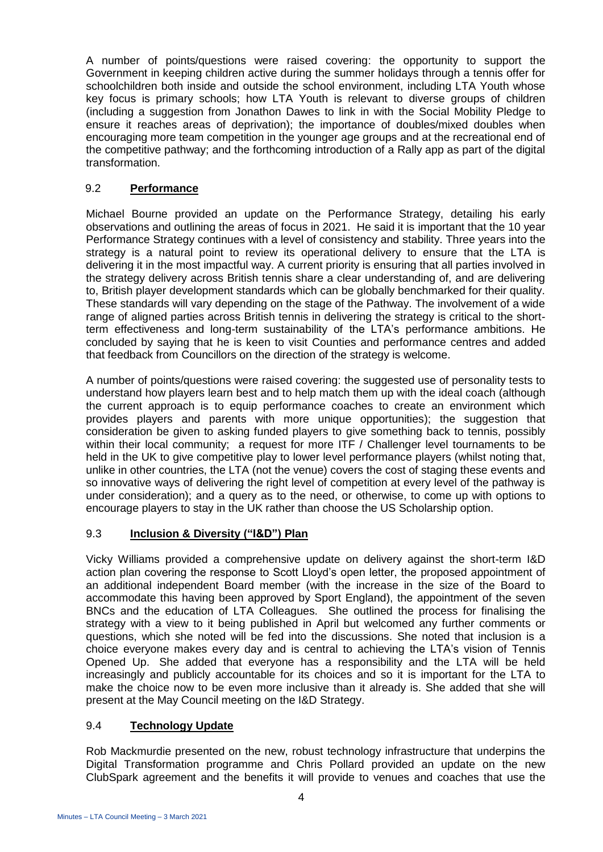A number of points/questions were raised covering: the opportunity to support the Government in keeping children active during the summer holidays through a tennis offer for schoolchildren both inside and outside the school environment, including LTA Youth whose key focus is primary schools; how LTA Youth is relevant to diverse groups of children (including a suggestion from Jonathon Dawes to link in with the Social Mobility Pledge to ensure it reaches areas of deprivation); the importance of doubles/mixed doubles when encouraging more team competition in the younger age groups and at the recreational end of the competitive pathway; and the forthcoming introduction of a Rally app as part of the digital transformation.

#### 9.2 **Performance**

Michael Bourne provided an update on the Performance Strategy, detailing his early observations and outlining the areas of focus in 2021. He said it is important that the 10 year Performance Strategy continues with a level of consistency and stability. Three years into the strategy is a natural point to review its operational delivery to ensure that the LTA is delivering it in the most impactful way. A current priority is ensuring that all parties involved in the strategy delivery across British tennis share a clear understanding of, and are delivering to, British player development standards which can be globally benchmarked for their quality. These standards will vary depending on the stage of the Pathway. The involvement of a wide range of aligned parties across British tennis in delivering the strategy is critical to the shortterm effectiveness and long-term sustainability of the LTA's performance ambitions. He concluded by saying that he is keen to visit Counties and performance centres and added that feedback from Councillors on the direction of the strategy is welcome.

A number of points/questions were raised covering: the suggested use of personality tests to understand how players learn best and to help match them up with the ideal coach (although the current approach is to equip performance coaches to create an environment which provides players and parents with more unique opportunities); the suggestion that consideration be given to asking funded players to give something back to tennis, possibly within their local community; a request for more ITF / Challenger level tournaments to be held in the UK to give competitive play to lower level performance players (whilst noting that, unlike in other countries, the LTA (not the venue) covers the cost of staging these events and so innovative ways of delivering the right level of competition at every level of the pathway is under consideration); and a query as to the need, or otherwise, to come up with options to encourage players to stay in the UK rather than choose the US Scholarship option.

#### 9.3 **Inclusion & Diversity ("I&D") Plan**

Vicky Williams provided a comprehensive update on delivery against the short-term I&D action plan covering the response to Scott Lloyd's open letter, the proposed appointment of an additional independent Board member (with the increase in the size of the Board to accommodate this having been approved by Sport England), the appointment of the seven BNCs and the education of LTA Colleagues. She outlined the process for finalising the strategy with a view to it being published in April but welcomed any further comments or questions, which she noted will be fed into the discussions. She noted that inclusion is a choice everyone makes every day and is central to achieving the LTA's vision of Tennis Opened Up. She added that everyone has a responsibility and the LTA will be held increasingly and publicly accountable for its choices and so it is important for the LTA to make the choice now to be even more inclusive than it already is. She added that she will present at the May Council meeting on the I&D Strategy.

### 9.4 **Technology Update**

Rob Mackmurdie presented on the new, robust technology infrastructure that underpins the Digital Transformation programme and Chris Pollard provided an update on the new ClubSpark agreement and the benefits it will provide to venues and coaches that use the